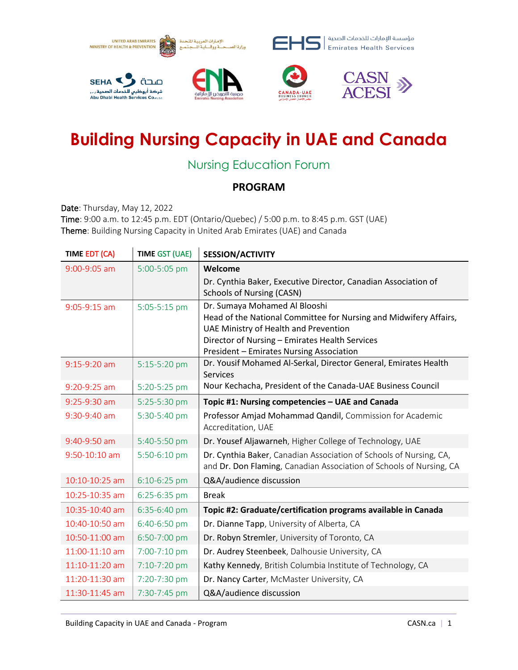

## **Building Nursing Capacity in UAE and Canada**

## Nursing Education Forum

## **PROGRAM**

Date: Thursday, May 12, 2022 Time: 9:00 a.m. to 12:45 p.m. EDT (Ontario/Quebec) / 5:00 p.m. to 8:45 p.m. GST (UAE) Theme: Building Nursing Capacity in United Arab Emirates (UAE) and Canada

| TIME EDT (CA)  | <b>TIME GST (UAE)</b> | <b>SESSION/ACTIVITY</b>                                                                                    |
|----------------|-----------------------|------------------------------------------------------------------------------------------------------------|
| 9:00-9:05 am   | 5:00-5:05 pm          | Welcome                                                                                                    |
|                |                       | Dr. Cynthia Baker, Executive Director, Canadian Association of                                             |
|                |                       | <b>Schools of Nursing (CASN)</b>                                                                           |
| $9:05-9:15$ am | 5:05-5:15 pm          | Dr. Sumaya Mohamed Al Blooshi                                                                              |
|                |                       | Head of the National Committee for Nursing and Midwifery Affairs,<br>UAE Ministry of Health and Prevention |
|                |                       | Director of Nursing - Emirates Health Services                                                             |
|                |                       | President - Emirates Nursing Association                                                                   |
| 9:15-9:20 am   | 5:15-5:20 pm          | Dr. Yousif Mohamed Al-Serkal, Director General, Emirates Health                                            |
|                |                       | <b>Services</b>                                                                                            |
| 9:20-9:25 am   | 5:20-5:25 pm          | Nour Kechacha, President of the Canada-UAE Business Council                                                |
| $9:25-9:30$ am | 5:25-5:30 pm          | Topic #1: Nursing competencies - UAE and Canada                                                            |
| 9:30-9:40 am   | 5:30-5:40 pm          | Professor Amjad Mohammad Qandil, Commission for Academic                                                   |
|                |                       | Accreditation, UAE                                                                                         |
| 9:40-9:50 am   | 5:40-5:50 pm          | Dr. Yousef Aljawarneh, Higher College of Technology, UAE                                                   |
| 9:50-10:10 am  | 5:50-6:10 pm          | Dr. Cynthia Baker, Canadian Association of Schools of Nursing, CA,                                         |
|                |                       | and Dr. Don Flaming, Canadian Association of Schools of Nursing, CA                                        |
| 10:10-10:25 am | 6:10-6:25 pm          | Q&A/audience discussion                                                                                    |
| 10:25-10:35 am | 6:25-6:35 pm          | <b>Break</b>                                                                                               |
| 10:35-10:40 am | 6:35-6:40 pm          | Topic #2: Graduate/certification programs available in Canada                                              |
| 10:40-10:50 am | 6:40-6:50 pm          | Dr. Dianne Tapp, University of Alberta, CA                                                                 |
| 10:50-11:00 am | 6:50-7:00 pm          | Dr. Robyn Stremler, University of Toronto, CA                                                              |
| 11:00-11:10 am | 7:00-7:10 pm          | Dr. Audrey Steenbeek, Dalhousie University, CA                                                             |
| 11:10-11:20 am | 7:10-7:20 pm          | Kathy Kennedy, British Columbia Institute of Technology, CA                                                |
| 11:20-11:30 am | 7:20-7:30 pm          | Dr. Nancy Carter, McMaster University, CA                                                                  |
| 11:30-11:45 am | 7:30-7:45 pm          | Q&A/audience discussion                                                                                    |